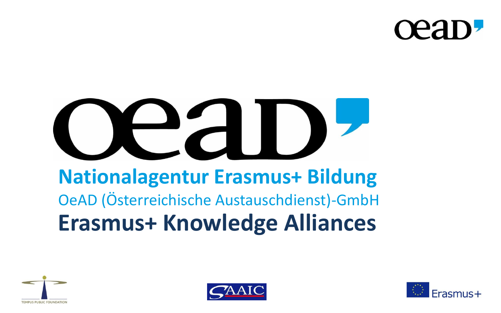

# **Nationalagentur Erasmus+ Bildung** OeAD (Österreichische Austauschdienst)-GmbH  **Erasmus+ Knowledge Alliances**





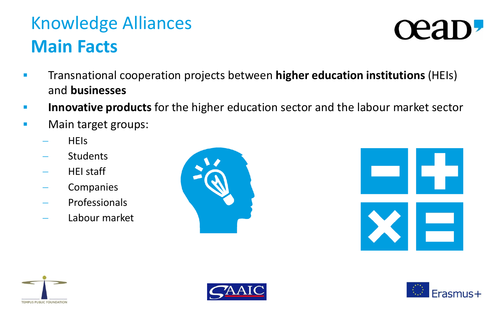### Knowledge Alliances **Main Facts**

- Transnational cooperation projects between **higher education institutions** (HEIs) and **businesses**
- **Innovative products** for the higher education sector and the labour market sector
- **Nain target groups:** 
	- **HEIS**
	- **Students**
	- HEI staff
	- Companies
	- Professionals
	- Labour market











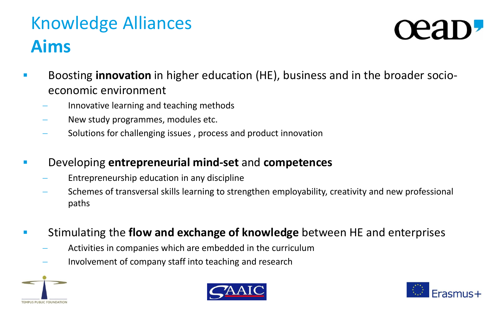## Knowledge Alliances **Aims**



- Boosting **innovation** in higher education (HE), business and in the broader socioeconomic environment
	- Innovative learning and teaching methods
	- New study programmes, modules etc.
	- Solutions for challenging issues , process and product innovation
- Developing **entrepreneurial mind-set** and **competences**
	- Entrepreneurship education in any discipline
	- Schemes of transversal skills learning to strengthen employability, creativity and new professional paths
- Stimulating the **flow and exchange of knowledge** between HE and enterprises
	- Activities in companies which are embedded in the curriculum
	- Involvement of company staff into teaching and research





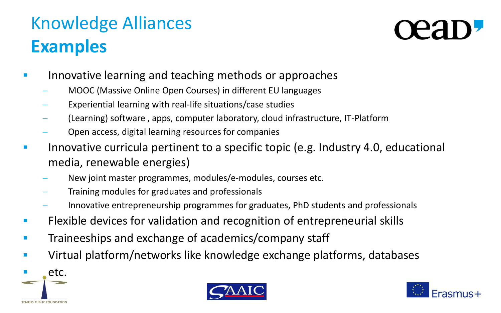#### Knowledge Alliances **Examples**



- Innovative learning and teaching methods or approaches
	- MOOC (Massive Online Open Courses) in different EU languages
	- Experiential learning with real-life situations/case studies
	- (Learning) software , apps, computer laboratory, cloud infrastructure, IT-Platform
	- Open access, digital learning resources for companies
- **Innovative curricula pertinent to a specific topic (e.g. Industry 4.0, educational** media, renewable energies)
	- New joint master programmes, modules/e-modules, courses etc.
	- Training modules for graduates and professionals
	- Innovative entrepreneurship programmes for graduates, PhD students and professionals
- **Figure 1** Flexible devices for validation and recognition of entrepreneurial skills
- **Traineeships and exchange of academics/company staff**
- Virtual platform/networks like knowledge exchange platforms, databases





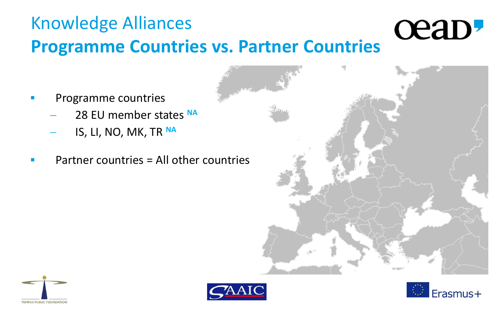## Knowledge Alliances **Programme Countries vs. Partner Countries**



- Programme countries
	- 28 EU member states **NA**
	- IS, LI, NO, MK, TR **NA**
- Partner countries = All other co[untries](//upload.wikimedia.org/wikipedia/commons/a/ad/Blank_political_map_Europe_in_2008_WF_(with_Kosovo).svg)







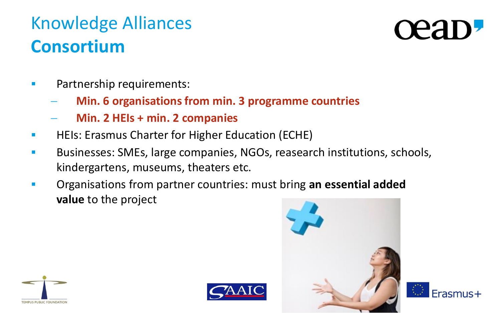#### Knowledge Alliances **Consortium**



- **Partnership requirements:** 
	- **Min. 6 organisations from min. 3 programme countries**
	- **Min. 2 HEIs + min. 2 companies**
- **HEIS: Erasmus Charter for Higher Education (ECHE)**
- **Businesses: SMEs, large companies, NGOs, reasearch institutions, schools, quarter** kindergartens, museums, theaters etc.
- Organisations from partner countries: must bring **an essential added value** to the project





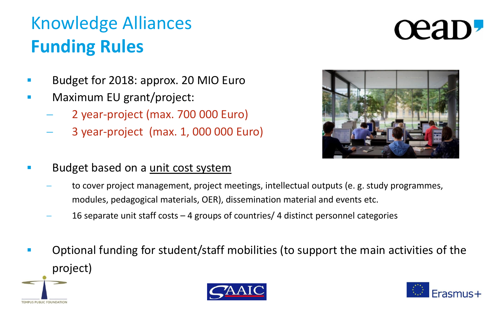## Knowledge Alliances **Funding Rules**

- Budget for 2018: approx. 20 MIO Euro
- Maximum EU grant/project:
	- 2 year-project (max. 700 000 Euro)
	- 3 year-project (max. 1, 000 000 Euro)
- 
- Budget based on a unit cost system
	- to cover project management, project meetings, intellectual outputs (e. g. study programmes, modules, pedagogical materials, OER), dissemination material and events etc.
	- 16 separate unit staff costs 4 groups of countries/ 4 distinct personnel categories
- **•** Optional funding for student/staff mobilities (to support the main activities of the project)







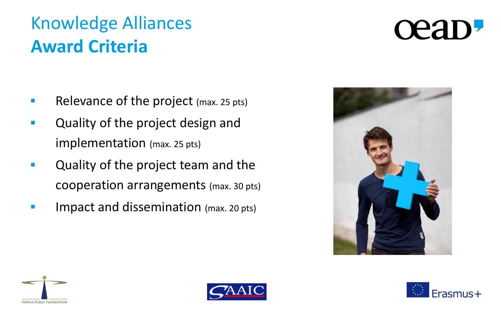#### Knowledge Alliances **Award Criteria**

- Relevance of the project (max. 25 pts)
- **Cuality of the project design and** implementation (max. 25 pts)
- **Cuality of the project team and the** cooperation arrangements (max. 30 pts)
- **Impact and dissemination** (max. 20 pts)



 $C^{\prime}$ 





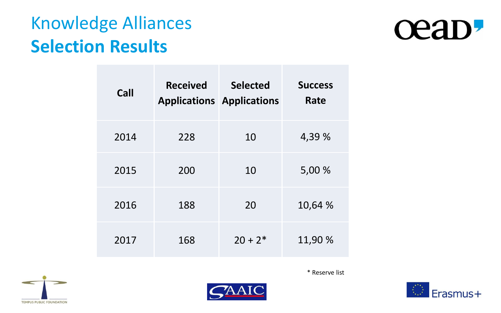#### Knowledge Alliances **Selection Results**



| Call | <b>Received</b><br><b>Applications Applications</b> | <b>Selected</b> | <b>Success</b><br>Rate |
|------|-----------------------------------------------------|-----------------|------------------------|
| 2014 | 228                                                 | 10              | 4,39 %                 |
| 2015 | 200                                                 | 10              | 5,00 %                 |
| 2016 | 188                                                 | 20              | 10,64 %                |
| 2017 | 168                                                 | $20 + 2*$       | 11,90 %                |





\* Reserve list

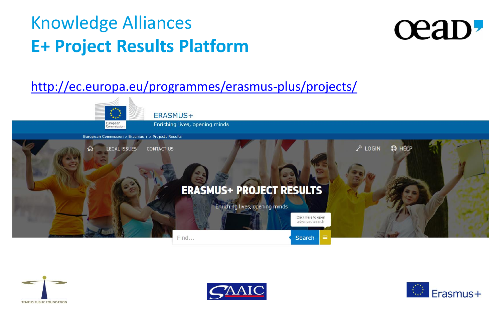#### Knowledge Alliances **E+ Project Results Platform**



#### <http://ec.europa.eu/programmes/erasmus-plus/projects/>







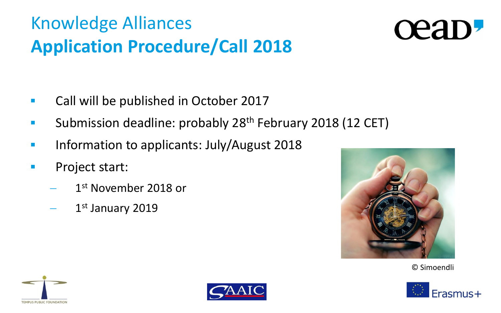## Knowledge Alliances **Application Procedure/Call 2018**



- **Call will be published in October 2017**
- **Submission deadline: probably 28<sup>th</sup> February 2018 (12 CET)**
- Information to applicants: July/August 2018
- **Project start:** 
	- $1^{\rm st}$  November 2018 or
	- 1<sup>st</sup> January 2019